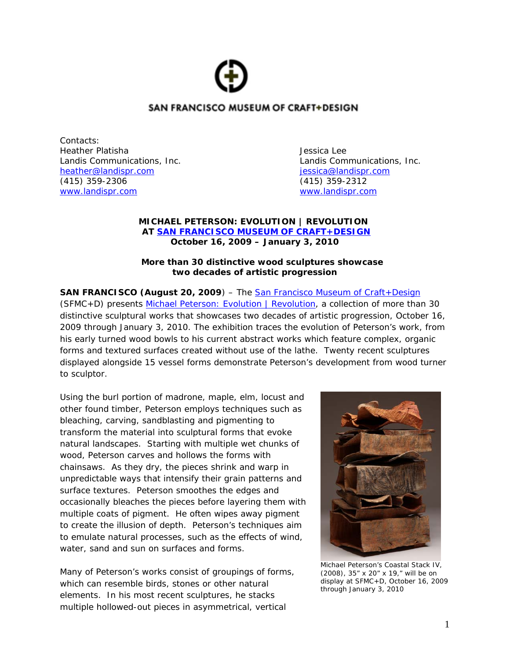# SAN FRANCISCO MUSEUM OF CRAFT+DESIGN

Contacts: Heather Platisha Jessica Lee [heather@landispr.com](mailto:heather@landispr.com) is a set of the set of the internal essica@landispr.com (415) 359-2306 (415) 359-2312 [www.landispr.com www.landispr.com](http://www.landispr.com/) 

Landis Communications, Inc. Landis Communications, Inc.

#### **MICHAEL PETERSON: EVOLUTION** *|* **REVOLUTION AT [SAN FRANCISCO MUSEUM OF CRAFT+DESIGN](http://sfmcd.org/) October 16, 2009 – January 3, 2010**

#### *More than 30 distinctive wood sculptures showcase two decades of artistic progression*

**SAN FRANCISCO (August 20, 2009)** – The **San Francisco Museum of Craft+Design** (SFMC+D) presents [Michael Peterson: Evolution | Revolution,](http://sfmcd.org/exhibt_next.htm) a collection of more than 30 distinctive sculptural works that showcases two decades of artistic progression, October 16, 2009 through January 3, 2010. The exhibition traces the evolution of Peterson's work, from his early turned wood bowls to his current abstract works which feature complex, organic forms and textured surfaces created without use of the lathe. Twenty recent sculptures displayed alongside 15 vessel forms demonstrate Peterson's development from wood turner to sculptor.

Using the burl portion of madrone, maple, elm, locust and other found timber, Peterson employs techniques such as bleaching, carving, sandblasting and pigmenting to transform the material into sculptural forms that evoke natural landscapes. Starting with multiple wet chunks of wood, Peterson carves and hollows the forms with chainsaws. As they dry, the pieces shrink and warp in unpredictable ways that intensify their grain patterns and surface textures. Peterson smoothes the edges and occasionally bleaches the pieces before layering them with multiple coats of pigment. He often wipes away pigment to create the illusion of depth. Peterson's techniques aim to emulate natural processes, such as the effects of wind, water, sand and sun on surfaces and forms.

Many of Peterson's works consist of groupings of forms, which can resemble birds, stones or other natural elements. In his most recent sculptures, he stacks multiple hollowed-out pieces in asymmetrical, vertical



Michael Peterson's *Coastal Stack IV*, (2008), 35" x 20" x 19," will be on display at SFMC+D, October 16, 2009 through January 3, 2010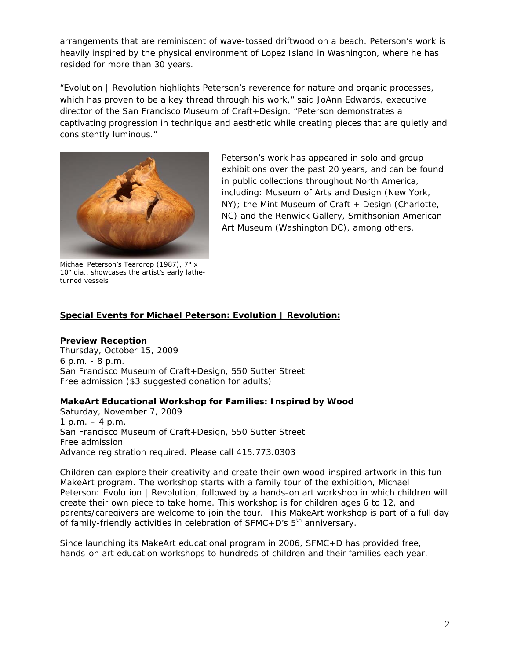arrangements that are reminiscent of wave-tossed driftwood on a beach. Peterson's work is heavily inspired by the physical environment of Lopez Island in Washington, where he has resided for more than 30 years.

"Evolution | Revolution highlights Peterson's reverence for nature and organic processes, which has proven to be a key thread through his work," said JoAnn Edwards, executive director of the San Francisco Museum of Craft+Design. "Peterson demonstrates a captivating progression in technique and aesthetic while creating pieces that are quietly and consistently luminous."



Peterson's work has appeared in solo and group exhibitions over the past 20 years, and can be found in public collections throughout North America, including: Museum of Arts and Design (New York, NY); the Mint Museum of Craft + Design (Charlotte, NC) and the Renwick Gallery, Smithsonian American Art Museum (Washington DC), among others.

Michael Peterson's Teardrop (1987), 7" x 10" dia., showcases the artist's early latheturned vessels

## **Special Events for Michael Peterson: Evolution | Revolution:**

#### **Preview Reception**

Thursday, October 15, 2009 6 p.m. - 8 p.m. San Francisco Museum of Craft+Design, 550 Sutter Street Free admission (\$3 suggested donation for adults)

#### **MakeArt Educational Workshop for Families: Inspired by Wood**

Saturday, November 7, 2009 1 p.m. – 4 p.m. San Francisco Museum of Craft+Design, 550 Sutter Street Free admission Advance registration required. Please call 415.773.0303

Children can explore their creativity and create their own wood-inspired artwork in this fun MakeArt program. The workshop starts with a family tour of the exhibition, Michael Peterson: Evolution | Revolution, followed by a hands-on art workshop in which children will create their own piece to take home. This workshop is for children ages 6 to 12, and parents/caregivers are welcome to join the tour. This MakeArt workshop is part of a full day of family-friendly activities in celebration of  $SFMC+D's 5<sup>th</sup>$  anniversary.

Since launching its MakeArt educational program in 2006, SFMC+D has provided free, hands-on art education workshops to hundreds of children and their families each year.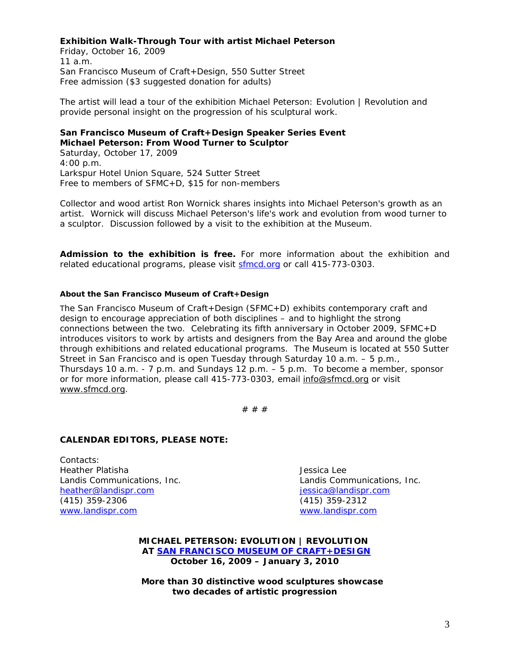#### **Exhibition Walk-Through Tour with artist Michael Peterson**

Friday, October 16, 2009 11 a.m. San Francisco Museum of Craft+Design, 550 Sutter Street Free admission (\$3 suggested donation for adults)

The artist will lead a tour of the exhibition Michael Peterson: Evolution | Revolution and provide personal insight on the progression of his sculptural work.

### **San Francisco Museum of Craft+Design Speaker Series Event Michael Peterson: From Wood Turner to Sculptor**

Saturday, October 17, 2009 4:00 p.m. Larkspur Hotel Union Square, 524 Sutter Street Free to members of SFMC+D, \$15 for non-members

Collector and wood artist Ron Wornick shares insights into Michael Peterson's growth as an artist. Wornick will discuss Michael Peterson's life's work and evolution from wood turner to a sculptor. Discussion followed by a visit to the exhibition at the Museum.

**Admission to the exhibition is free.** For more information about the exhibition and related educational programs, please visit [sfmcd.org](http://sfmcd.org/) or call 415-773-0303.

#### **About the San Francisco Museum of Craft+Design**

The San Francisco Museum of Craft+Design (SFMC+D) exhibits contemporary craft and design to encourage appreciation of both disciplines – and to highlight the strong connections between the two. Celebrating its fifth anniversary in October 2009, SFMC+D introduces visitors to work by artists and designers from the Bay Area and around the globe through exhibitions and related educational programs. The Museum is located at 550 Sutter Street in San Francisco and is open Tuesday through Saturday 10 a.m. – 5 p.m., Thursdays 10 a.m. - 7 p.m. and Sundays 12 p.m. – 5 p.m. To become a member, sponsor or for more information, please call 415-773-0303, email [info@sfmcd.org](mailto:info@sfmcd.org) or visit [www.sfmcd.org](http://www.sfmcd.org/).

# # #

#### **CALENDAR EDITORS, PLEASE NOTE:**

Contacts: Heather Platisha Jessica Lee [heather@landispr.com](mailto:heather@landispr.com) is a set of the set of the set of the set of the set of the set of the set of the set of the set of the set of the set of the set of the set of the set of the set of the set of the set of the set of th (415) 359-2306 (415) 359-2312 [www.landispr.com www.landispr.com](http://www.landispr.com/) 

Landis Communications, Inc. Landis Communications, Inc.

**MICHAEL PETERSON: EVOLUTION** *|* **REVOLUTION AT [SAN FRANCISCO MUSEUM OF CRAFT+DESIGN](http://sfmcd.org/) October 16, 2009 – January 3, 2010** 

*More than 30 distinctive wood sculptures showcase two decades of artistic progression*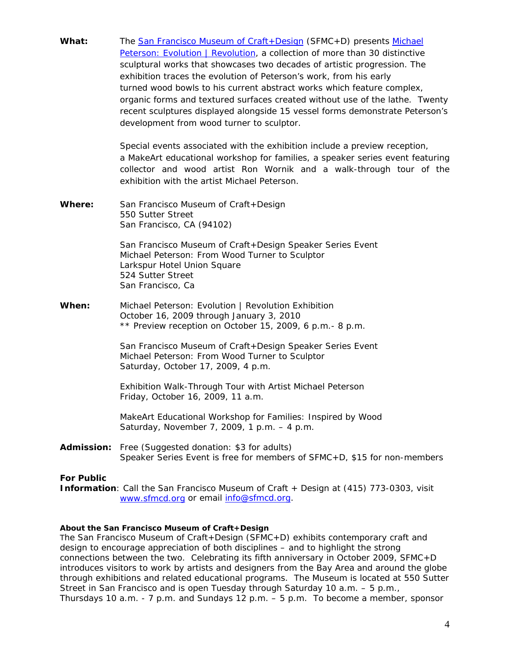**What:** The [San Francisco Museum of Craft+Design](http://sfmcd.org/) (SFMC+D) presents [Michael](http://sfmcd.org/exhibt_next.htm)  Peterson: Evolution | Revolution, a collection of more than 30 distinctive sculptural works that showcases two decades of artistic progression. The exhibition traces the evolution of Peterson's work, from his early turned wood bowls to his current abstract works which feature complex, organic forms and textured surfaces created without use of the lathe. Twenty recent sculptures displayed alongside 15 vessel forms demonstrate Peterson's development from wood turner to sculptor.

> Special events associated with the exhibition include a preview reception, a MakeArt educational workshop for families, a speaker series event featuring collector and wood artist Ron Wornik and a walk-through tour of the exhibition with the artist Michael Peterson.

**Where:** San Francisco Museum of Craft+Design 550 Sutter Street San Francisco, CA (94102)

> *San Francisco Museum of Craft+Design Speaker Series Event Michael Peterson: From Wood Turner to Sculptor*  Larkspur Hotel Union Square 524 Sutter Street San Francisco, Ca

**When:** *Michael Peterson: Evolution | Revolution Exhibition* October 16, 2009 through January 3, 2010 \*\* Preview reception on October 15, 2009, 6 p.m.- 8 p.m.

> *San Francisco Museum of Craft+Design Speaker Series Event Michael Peterson: From Wood Turner to Sculptor*  Saturday, October 17, 2009, 4 p.m.

 *Exhibition Walk-Through Tour with Artist Michael Peterson*  Friday, October 16, 2009, 11 a.m.

 *MakeArt Educational Workshop for Families: Inspired by Wood*  Saturday, November 7, 2009, 1 p.m. – 4 p.m.

**Admission:** Free (Suggested donation: \$3 for adults) Speaker Series Event is free for members of SFMC+D, \$15 for non-members

#### **For Public**

**Information**: Call the San Francisco Museum of Craft + Design at (415) 773-0303, visit [www.sfmcd.org](http://www.sfmcd.org/) or email [info@sfmcd.org](mailto:info@sfmcd.org).

#### **About the San Francisco Museum of Craft+Design**

The San Francisco Museum of Craft+Design (SFMC+D) exhibits contemporary craft and design to encourage appreciation of both disciplines – and to highlight the strong connections between the two. Celebrating its fifth anniversary in October 2009, SFMC+D introduces visitors to work by artists and designers from the Bay Area and around the globe through exhibitions and related educational programs. The Museum is located at 550 Sutter Street in San Francisco and is open Tuesday through Saturday 10 a.m. – 5 p.m., Thursdays 10 a.m.  $-7$  p.m. and Sundays 12 p.m.  $-5$  p.m. To become a member, sponsor